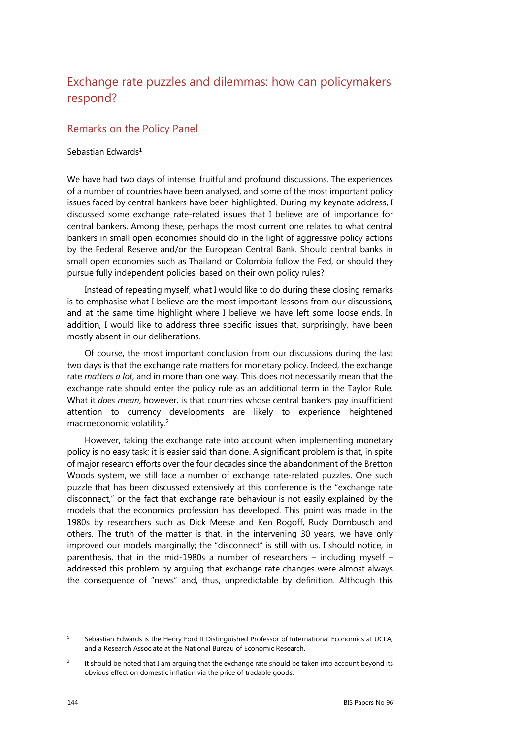## Exchange rate puzzles and dilemmas: how can policymakers respond?

## Remarks on the Policy Panel

## Sebastian Edwards<sup>1</sup>

We have had two days of intense, fruitful and profound discussions. The experiences of a number of countries have been analysed, and some of the most important policy issues faced by central bankers have been highlighted. During my keynote address, I discussed some exchange rate-related issues that I believe are of importance for central bankers. Among these, perhaps the most current one relates to what central bankers in small open economies should do in the light of aggressive policy actions by the Federal Reserve and/or the European Central Bank. Should central banks in small open economies such as Thailand or Colombia follow the Fed, or should they pursue fully independent policies, based on their own policy rules?

Instead of repeating myself, what I would like to do during these closing remarks is to emphasise what I believe are the most important lessons from our discussions, and at the same time highlight where I believe we have left some loose ends. In addition, I would like to address three specific issues that, surprisingly, have been mostly absent in our deliberations.

Of course, the most important conclusion from our discussions during the last two days is that the exchange rate matters for monetary policy. Indeed, the exchange rate *matters a lot*, and in more than one way. This does not necessarily mean that the exchange rate should enter the policy rule as an additional term in the Taylor Rule. What it *does mean*, however, is that countries whose central bankers pay insufficient attention to currency developments are likely to experience heightened macroeconomic volatility.2

However, taking the exchange rate into account when implementing monetary policy is no easy task; it is easier said than done. A significant problem is that, in spite of major research efforts over the four decades since the abandonment of the Bretton Woods system, we still face a number of exchange rate-related puzzles. One such puzzle that has been discussed extensively at this conference is the "exchange rate disconnect," or the fact that exchange rate behaviour is not easily explained by the models that the economics profession has developed. This point was made in the 1980s by researchers such as Dick Meese and Ken Rogoff, Rudy Dornbusch and others. The truth of the matter is that, in the intervening 30 years, we have only improved our models marginally; the "disconnect" is still with us. I should notice, in parenthesis, that in the mid-1980s a number of researchers – including myself – addressed this problem by arguing that exchange rate changes were almost always the consequence of "news" and, thus, unpredictable by definition. Although this

<sup>1</sup> Sebastian Edwards is the Henry Ford II Distinguished Professor of International Economics at UCLA, and a Research Associate at the National Bureau of Economic Research.

<sup>2</sup> It should be noted that I am arguing that the exchange rate should be taken into account beyond its obvious effect on domestic inflation via the price of tradable goods.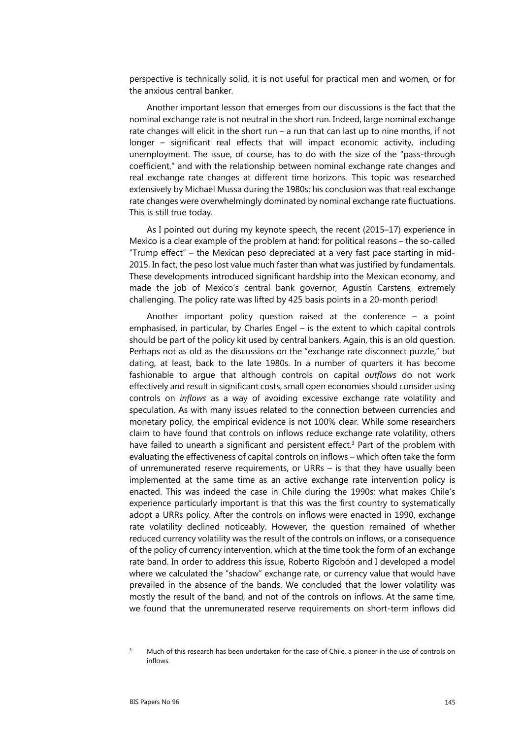perspective is technically solid, it is not useful for practical men and women, or for the anxious central banker.

Another important lesson that emerges from our discussions is the fact that the nominal exchange rate is not neutral in the short run. Indeed, large nominal exchange rate changes will elicit in the short run – a run that can last up to nine months, if not longer – significant real effects that will impact economic activity, including unemployment. The issue, of course, has to do with the size of the "pass-through coefficient," and with the relationship between nominal exchange rate changes and real exchange rate changes at different time horizons. This topic was researched extensively by Michael Mussa during the 1980s; his conclusion was that real exchange rate changes were overwhelmingly dominated by nominal exchange rate fluctuations. This is still true today.

As I pointed out during my keynote speech, the recent (2015–17) experience in Mexico is a clear example of the problem at hand: for political reasons – the so-called "Trump effect" – the Mexican peso depreciated at a very fast pace starting in mid-2015. In fact, the peso lost value much faster than what was justified by fundamentals. These developments introduced significant hardship into the Mexican economy, and made the job of Mexico's central bank governor, Agustín Carstens, extremely challenging. The policy rate was lifted by 425 basis points in a 20-month period!

Another important policy question raised at the conference – a point emphasised, in particular, by Charles Engel – is the extent to which capital controls should be part of the policy kit used by central bankers. Again, this is an old question. Perhaps not as old as the discussions on the "exchange rate disconnect puzzle," but dating, at least, back to the late 1980s. In a number of quarters it has become fashionable to argue that although controls on capital *outflows* do not work effectively and result in significant costs, small open economies should consider using controls on *inflows* as a way of avoiding excessive exchange rate volatility and speculation. As with many issues related to the connection between currencies and monetary policy, the empirical evidence is not 100% clear. While some researchers claim to have found that controls on inflows reduce exchange rate volatility, others have failed to unearth a significant and persistent effect.<sup>3</sup> Part of the problem with evaluating the effectiveness of capital controls on inflows – which often take the form of unremunerated reserve requirements, or URRs – is that they have usually been implemented at the same time as an active exchange rate intervention policy is enacted. This was indeed the case in Chile during the 1990s; what makes Chile's experience particularly important is that this was the first country to systematically adopt a URRs policy. After the controls on inflows were enacted in 1990, exchange rate volatility declined noticeably. However, the question remained of whether reduced currency volatility was the result of the controls on inflows, or a consequence of the policy of currency intervention, which at the time took the form of an exchange rate band. In order to address this issue, Roberto Rigobón and I developed a model where we calculated the "shadow" exchange rate, or currency value that would have prevailed in the absence of the bands. We concluded that the lower volatility was mostly the result of the band, and not of the controls on inflows. At the same time, we found that the unremunerated reserve requirements on short-term inflows did

<sup>3</sup> Much of this research has been undertaken for the case of Chile, a pioneer in the use of controls on inflows.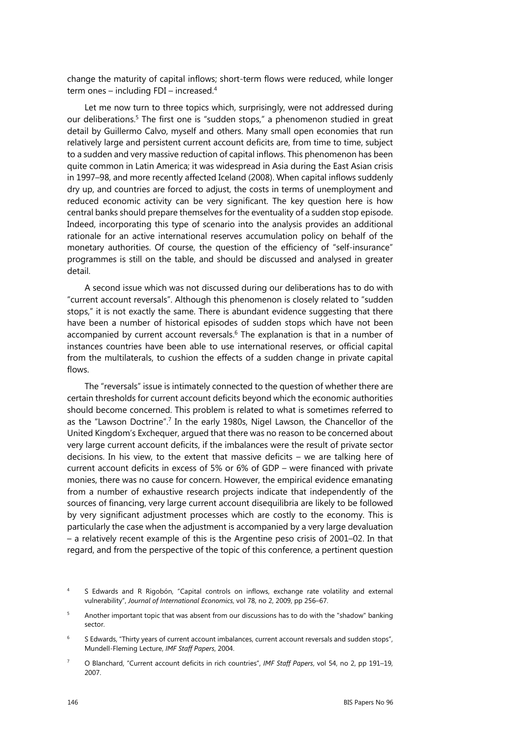change the maturity of capital inflows; short-term flows were reduced, while longer term ones – including FDI – increased.4

Let me now turn to three topics which, surprisingly, were not addressed during our deliberations.5 The first one is "sudden stops," a phenomenon studied in great detail by Guillermo Calvo, myself and others. Many small open economies that run relatively large and persistent current account deficits are, from time to time, subject to a sudden and very massive reduction of capital inflows. This phenomenon has been quite common in Latin America; it was widespread in Asia during the East Asian crisis in 1997–98, and more recently affected Iceland (2008). When capital inflows suddenly dry up, and countries are forced to adjust, the costs in terms of unemployment and reduced economic activity can be very significant. The key question here is how central banks should prepare themselves for the eventuality of a sudden stop episode. Indeed, incorporating this type of scenario into the analysis provides an additional rationale for an active international reserves accumulation policy on behalf of the monetary authorities. Of course, the question of the efficiency of "self-insurance" programmes is still on the table, and should be discussed and analysed in greater detail.

A second issue which was not discussed during our deliberations has to do with "current account reversals". Although this phenomenon is closely related to "sudden stops," it is not exactly the same. There is abundant evidence suggesting that there have been a number of historical episodes of sudden stops which have not been accompanied by current account reversals.<sup>6</sup> The explanation is that in a number of instances countries have been able to use international reserves, or official capital from the multilaterals, to cushion the effects of a sudden change in private capital flows.

The "reversals" issue is intimately connected to the question of whether there are certain thresholds for current account deficits beyond which the economic authorities should become concerned. This problem is related to what is sometimes referred to as the "Lawson Doctrine".<sup>7</sup> In the early 1980s, Nigel Lawson, the Chancellor of the United Kingdom's Exchequer, argued that there was no reason to be concerned about very large current account deficits, if the imbalances were the result of private sector decisions. In his view, to the extent that massive deficits – we are talking here of current account deficits in excess of 5% or 6% of GDP – were financed with private monies, there was no cause for concern. However, the empirical evidence emanating from a number of exhaustive research projects indicate that independently of the sources of financing, very large current account disequilibria are likely to be followed by very significant adjustment processes which are costly to the economy. This is particularly the case when the adjustment is accompanied by a very large devaluation – a relatively recent example of this is the Argentine peso crisis of 2001–02. In that regard, and from the perspective of the topic of this conference, a pertinent question

<sup>4</sup> S Edwards and R Rigobón, "Capital controls on inflows, exchange rate volatility and external vulnerability", *Journal of International Economics*, vol 78, no 2, 2009, pp 256–67.

<sup>5</sup> Another important topic that was absent from our discussions has to do with the "shadow" banking sector.

<sup>6</sup> S Edwards, "Thirty years of current account imbalances, current account reversals and sudden stops", Mundell-Fleming Lecture, *IMF Staff Papers*, 2004.

<sup>7</sup> O Blanchard, "Current account deficits in rich countries", *IMF Staff Papers*, vol 54, no 2, pp 191–19, 2007.